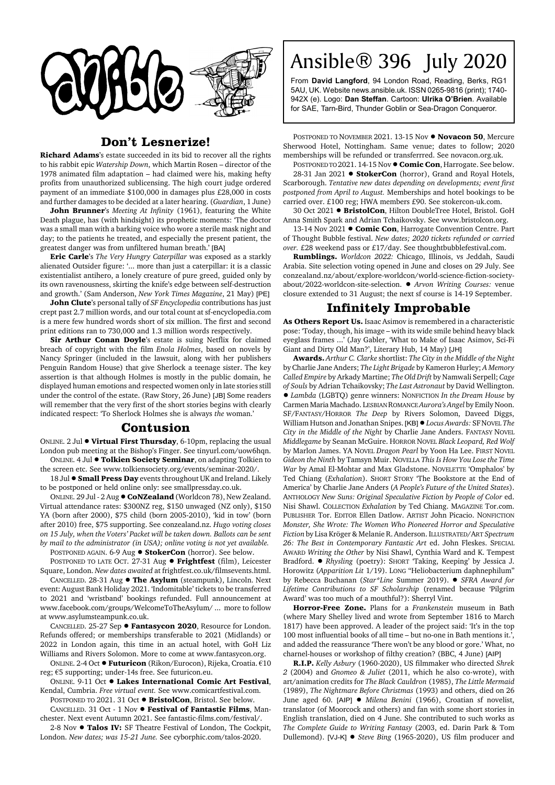

## **Don't Lesnerize!**

**Richard Adams**'s estate succeeded in its bid to recover all the rights to his rabbit epic *Watership Down*, which Martin Rosen – director of the 1978 animated film adaptation – had claimed were his, making hefty profits from unauthorized sublicensing. The high court judge ordered payment of an immediate \$100,000 in damages plus £28,000 in costs and further damages to be decided at a later hearing. (*Guardian*, 1 June)

**John Brunner**'s *Meeting At Infinity* (1961), featuring the White Death plague, has (with hindsight) its prophetic moments: 'The doctor was a small man with a barking voice who wore a sterile mask night and day; to the patients he treated, and especially the present patient, the greatest danger was from unfiltered human breath.' [BA]

**Eric Carle**'s *The Very Hungry Caterpillar* was exposed as a starkly alienated Outsider figure: '... more than just a caterpillar: it is a classic existentialist antihero, a lonely creature of pure greed, guided only by its own ravenousness, skirting the knife's edge between self-destruction and growth.' (Sam Anderson, *New York Times Magazine*, 21 May) [PE]

**John Clute**'s personal tally of *SF Encyclopedia* contributions has just crept past 2.7 million words, and our total count at sf-encyclopedia.com is a mere few hundred words short of six million. The first and second print editions ran to 730,000 and 1.3 million words respectively.

**Sir Arthur Conan Doyle's estate is suing Netflix for claimed** breach of copyright with the film *Enola Holmes*, based on novels by Nancy Springer (included in the lawsuit, along with her publishers Penguin Random House) that give Sherlock a teenage sister. The key assertion is that although Holmes is mostly in the public domain, he displayed human emotions and respected women only in late stories still under the control of the estate. (Raw Story, 26 June) [JB] Some readers will remember that the very first of the short stories begins with clearly indicated respect: 'To Sherlock Holmes she is always *the* woman.'

## **Contusion**

ONLINE. 2 Jul  $\bullet$  Virtual First Thursday, 6-10pm, replacing the usual London pub meeting at the Bishop's Finger. See tinyurl.com/uow6hqn. ONLINE. 4 Jul ! **Tolkien Society Seminar**, on adapting Tolkien to

the screen etc. See www.tolkiensociety.org/events/seminar-2020/.

18 Jul  $\bullet$  **Small Press Day** events throughout UK and Ireland. Likely to be postponed or held online only: see smallpressday.co.uk.

ONLINE. 29 Jul - 2 Aug !**CoNZealand** (Worldcon 78), New Zealand. Virtual attendance rates: \$300NZ reg, \$150 unwaged (NZ only), \$150 YA (born after 2000), \$75 child (born 2005-2010), 'kid in tow' (born after 2010) free, \$75 supporting. See conzealand.nz. *Hugo voting closes on 15 July, when the Voters' Packet will be taken down. Ballots can be sent by mail to the administrator (in USA); online voting is not yet available.*

POSTPONED AGAIN. 6-9 Aug  $\bullet$  **StokerCon** (horror). See below.

POSTPONED TO LATE OCT. 27-31 Aug . Frightfest (film), Leicester Square, London. *New dates awaited* at frightfest.co.uk/filmsevents.html.

CANCELLED. 28-31 Aug ! **The Asylum** (steampunk), Lincoln. Next event: August Bank Holiday 2021. 'Indomitable' tickets to be transferred to 2021 and 'wristband' bookings refunded. Full announcement at www.facebook.com/groups/WelcomeToTheAsylum/ ... more to follow at www.asylumsteampunk.co.uk.

CANCELLED. 25-27 Sep  $\bullet$  **Fantasycon 2020**, Resource for London. Refunds offered; or memberships transferable to 2021 (Midlands) or 2022 in London again, this time in an actual hotel, with GoH Liz Williams and Rivers Solomon. More to come at www.fantasycon.org.

ONLINE. 2-4 Oct ! **Futuricon** (Rikon/Eurocon), Rijeka, Croatia. €10 reg; €5 supporting; under-14s free. See futuricon.eu.

**ONLINE. 9-11 Oct • Lakes International Comic Art Festival.** Kendal, Cumbria. *Free virtual event.* See www.comicartfestival.com.

POSTPONED TO 2021. 31 Oct  $\bullet$  **BristolCon**, Bristol. See below. CANCELLED. 31 Oct - 1 Nov ! **Festival of Fantastic Films**, Man-

chester. Next event Autumn 2021. See fantastic-films.com/festival/. 2-8 Nov ! **Talos IV:** SF Theatre Festival of London, The Cockpit,

London. *New dates; was 15-21 June.* See cyborphic.com/talos-2020.

## Ansible® 396 July 2020

From **David Langford**, 94 London Road, Reading, Berks, RG1 5AU, UK. Website news.ansible.uk. ISSN 0265-9816 (print); 1740- 942X (e). Logo: **Dan Steffan**. Cartoon: **Ulrika O'Brien**. Available for SAE, Tarn-Bird, Thunder Goblin or Sea-Dragon Conqueror.

POSTPONED TO NOVEMBER 2021. 13-15 Nov  $\bullet$  **Novacon 50**, Mercure Sherwood Hotel, Nottingham. Same venue; dates to follow; 2020 memberships will be refunded or transferrred. See novacon.org.uk.

POSTPONED TO 2021. 14-15 Nov  $\bullet$  **Comic Con**, Harrogate. See below. 28-31 Jan 2021 . StokerCon (horror), Grand and Royal Hotels, Scarborough. *Tentative new dates depending on developments; event first postponed from April to August.* Memberships and hotel bookings to be carried over. £100 reg; HWA members £90. See stokercon-uk.com.

30 Oct 2021 . BristolCon, Hilton DoubleTree Hotel, Bristol. GoH Anna Smith Spark and Adrian Tchaikovsky. See www.bristolcon.org.

13-14 Nov 2021 . Comic Con, Harrogate Convention Centre. Part of Thought Bubble festival. *New dates; 2020 tickets refunded or carried over.* £28 weekend pass or £17/day. See thoughtbubblefestival.com.

**Rumblings.** *Worldcon 2022:* Chicago, Illinois, vs Jeddah, Saudi Arabia. Site selection voting opened in June and closes on 29 July. See conzealand.nz/about/explore-worldcon/world-science-fiction-societyabout/2022-worldcon-site-selection. ! *Arvon Writing Courses:* venue closure extended to 31 August; the next sf course is 14-19 September.

## **Infinitely Improbable**

**As Others Report Us.** Isaac Asimov is remembered in a characteristic pose: 'Today, though, his image – with its wide smile behind heavy black eyeglass frames ...' (Jay Gabler, 'What to Make of Isaac Asimov, Sci-Fi Giant and Dirty Old Man?', Literary Hub, 14 May) [JH]

**Awards.** *Arthur C. Clarke* shortlist: *The City in the Middle of the Night* by Charlie Jane Anders; *The Light Brigade* by Kameron Hurley; *A Memory Called Empire* by Arkady Martine; *The Old Drift* by Namwali Serpell; *Cage of Souls* by Adrian Tchaikovsky; *The Last Astronaut* by David Wellington. ! *Lambda* (LGBTQ) genre winners: NONFICTION *In the Dream House* by Carmen Maria Machado. LESBIAN ROMANCE *Aurora's Angel* by Emily Noon. SF/FANTASY/HORROR *The Deep* by Rivers Solomon, Daveed Diggs, William Hutson and Jonathan Snipes. [KB]! *Locus Awards:* SFNOVEL *The City in the Middle of the Night* by Charlie Jane Anders. FANTASY NOVEL *Middlegame* by Seanan McGuire. HORROR NOVEL *Black Leopard, Red Wolf* by Marlon James. YA NOVEL *Dragon Pearl* by Yoon Ha Lee. FIRST NOVEL *Gideon the Ninth* by Tamsyn Muir. NOVELLA *This Is How You Lose the Time War* by Amal El-Mohtar and Max Gladstone. NOVELETTE 'Omphalos' by Ted Chiang (*Exhalation*). SHORT STORY 'The Bookstore at the End of America' by Charlie Jane Anders (*A People's Future of the United States*). ANTHOLOGY *New Suns: Original Speculative Fiction by People of Color* ed. Nisi Shawl. COLLECTION *Exhalation* by Ted Chiang. MAGAZINE Tor.com. PUBLISHER Tor. EDITOR Ellen Datlow. ARTIST John Picacio. NONFICTION *Monster, She Wrote: The Women Who Pioneered Horror and Speculative Fiction* by Lisa Kröger & Melanie R. Anderson. ILLUSTRATED/ART *Spectrum 26: The Best in Contemporary Fantastic Art* ed. John Fleskes. SPECIAL AWARD *Writing the Other* by Nisi Shawl, Cynthia Ward and K. Tempest Bradford. . *Rhysling* (poetry): SHORT 'Taking, Keeping' by Jessica J. Horowitz (*Apparition Lit* 1/19). LONG "Heliobacterium daphnephilum" by Rebecca Buchanan (*Star\*Line* Summer 2019). ! *SFRA Award for Lifetime Contributions to SF Scholarship* (renamed because 'Pilgrim Award' was too much of a mouthful?): Sherryl Vint.

**Horror-Free Zone.** Plans for a *Frankenstein* museum in Bath (where Mary Shelley lived and wrote from September 1816 to March 1817) have been approved. A leader of the project said: 'It's in the top 100 most influential books of all time – but no-one in Bath mentions it.', and added the reassurance 'There won't be any blood or gore.' What, no charnel-houses or workshop of filthy creation? (BBC, 4 June) [AIP]

**R.I.P.** *Kelly Asbury* (1960-2020), US filmmaker who directed *Shrek 2* (2004) and *Gnomeo & Juliet* (2011, which he also co-wrote), with art/animation credits for *The Black Cauldron* (1985), *The Little Mermaid* (1989), *The Nightmare Before Christmas* (1993) and others, died on 26 June aged 60. [AIP]  $\bullet$  *Milena Benini* (1966), Croatian sf novelist, translator (of Moorcock and others) and fan with some short stories in English translation, died on 4 June. She contributed to such works as *The Complete Guide to Writing Fantasy* (2003, ed. Darin Park & Tom Dullemond). [VJ-K] ! *Steve Bing* (1965-2020), US film producer and